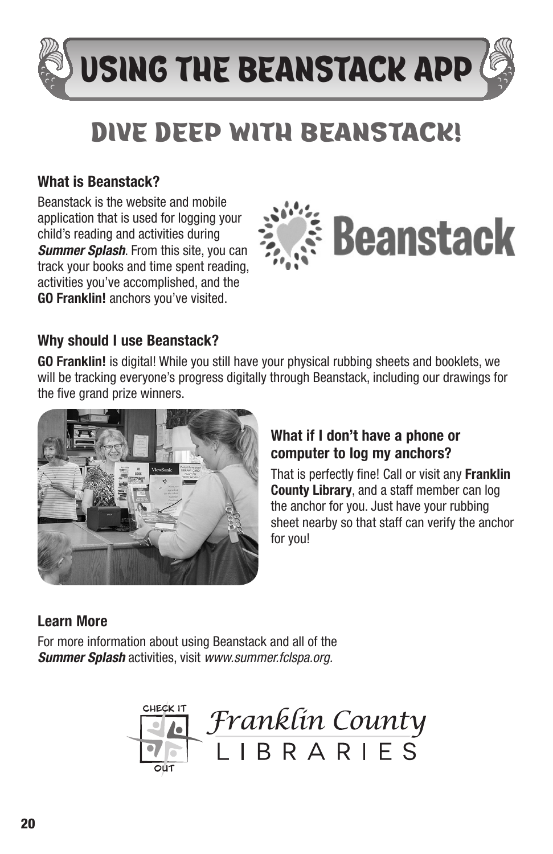# USING THE BEANSTACK APP

# DIVE DEEP WITH BEANSTACK!

## What is Beanstack?

Beanstack is the website and mobile application that is used for logging your child's reading and activities during *Summer Splash*. From this site, you can track your books and time spent reading, activities you've accomplished, and the GO Franklin! anchors you've visited.



### Why should I use Beanstack?

GO Franklin! is digital! While you still have your physical rubbing sheets and booklets, we will be tracking everyone's progress digitally through Beanstack, including our drawings for the five grand prize winners.



#### What if I don't have a phone or computer to log my anchors?

That is perfectly fine! Call or visit any Franklin **County Library**, and a staff member can log the anchor for you. Just have your rubbing sheet nearby so that staff can verify the anchor for you!

#### Learn More

For more information about using Beanstack and all of the *Summer Splash* activities, visit *www.summer.fclspa.org.*

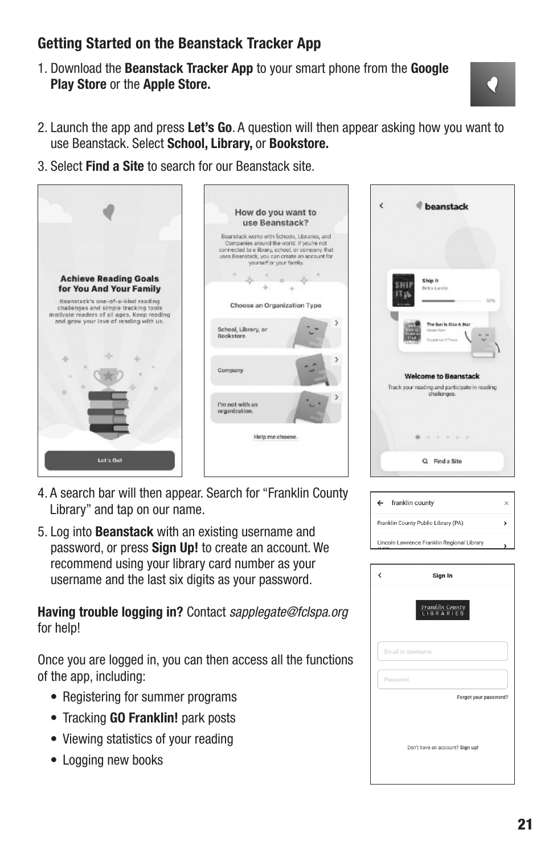#### Getting Started on the Beanstack Tracker App

1. Download the Beanstack Tracker App to your smart phone from the Google Play Store or the Apple Store.



- 2. Launch the app and press Let's Go. A question will then appear asking how you want to use Beanstack. Select School, Library, or Bookstore.
- 3. Select Find a Site to search for our Beanstack site.



- 4. A search bar will then appear. Search for "Franklin County Library" and tap on our name.
- 5. Log into Beanstack with an existing username and password, or press Sign Up! to create an account. We recommend using your library card number as your username and the last six digits as your password.

Having trouble logging in? Contact *sapplegate@fclspa.org* for help!

Once you are logged in, you can then access all the functions of the app, including:

- Registering for summer programs
- Tracking **GO Franklin!** park posts
- Viewing statistics of your reading
- Logging new books

| ć | beanstack                                                                                                    |
|---|--------------------------------------------------------------------------------------------------------------|
|   |                                                                                                              |
|   | Ship It<br>Britts Lundin<br>BO%                                                                              |
|   | The Sun Is Also A Star<br>Nicola Khon<br>Concilitati 3 Times                                                 |
|   | <b>Welcome to Beanstack</b>                                                                                  |
|   | Track your reading and participate in reading<br>challenges.                                                 |
|   | $\begin{array}{ccccccccccccc} \cdots & \cdots & \cdots & \cdots & \cdots & \cdots & \cdots \end{array}$<br>۰ |
|   | Q Find a Site                                                                                                |

| ←                                          | franklin county | $\boldsymbol{\times}$ |
|--------------------------------------------|-----------------|-----------------------|
| Franklin County Public Library (PA)        |                 | ١                     |
| Lincoln Lawrence Franklin Regional Library |                 |                       |

| Č | Sign In                                               |
|---|-------------------------------------------------------|
|   | $\frac{\text{Frankfin County}}{\text{LIB R A RIE S}}$ |
|   | Email or Username                                     |
|   | Password                                              |
|   | Forgot your password?                                 |
|   | Don't have an account? Sign up!                       |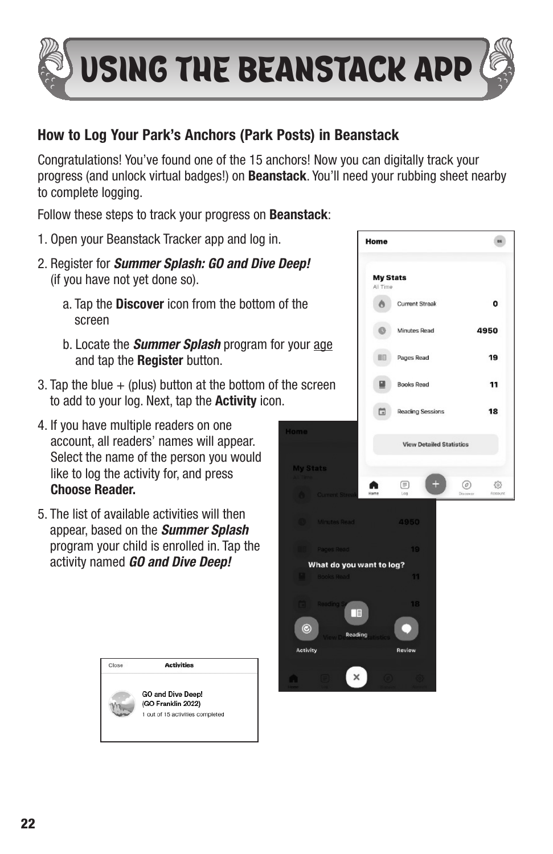

#### How to Log Your Park's Anchors (Park Posts) in Beanstack

Congratulations! You've found one of the 15 anchors! Now you can digitally track your progress (and unlock virtual badges!) on **Beanstack**. You'll need your rubbing sheet nearby to complete logging.

Follow these steps to track your progress on **Beanstack**:

- 1. Open your Beanstack Tracker app and log in.
- 2. Register for *Summer Splash: GO and Dive Deep!* (if you have not yet done so).
	- a. Tap the **Discover** icon from the bottom of the screen
	- b. Locate the *Summer Splash* program for your age and tap the Register button.
- 3. Tap the blue  $+$  (plus) button at the bottom of the screen to add to your log. Next, tap the **Activity** icon.
- 4. If you have multiple readers on one account, all readers' names will appear. Select the name of the person you would like to log the activity for, and press Choose Reader.
- 5. The list of available activities will then appear, based on the *Summer Splash* program your child is enrolled in. Tap the activity named *GO and Dive Deep!*